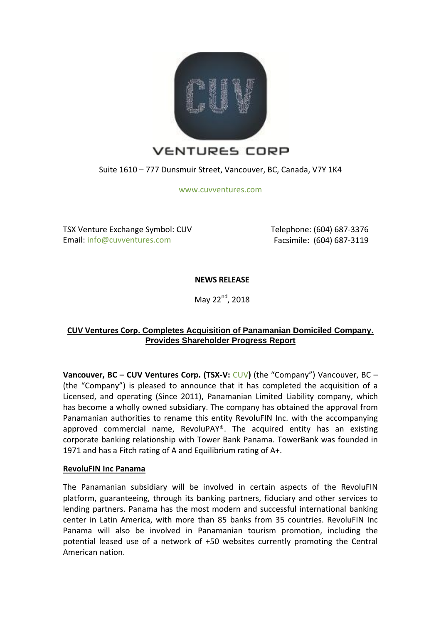

Suite 1610 – 777 Dunsmuir Street, Vancouver, BC, Canada, V7Y 1K4

[www.cuvventures.com](http://www.cuvventures.com/)

TSX Venture Exchange Symbol: CUV Email: [info@cuvventures.com](mailto:info@cuvventures.com)

 Telephone: (604) 687-3376 Facsimile: (604) 687-3119

**NEWS RELEASE**

May 22<sup>nd</sup>, 2018

# **CUV Ventures Corp. Completes Acquisition of Panamanian Domiciled Company. Provides Shareholder Progress Report**

**Vancouver, BC – CUV Ventures Corp. (TSX-V:** [CUV](http://web.tmxmoney.com/quote.php?qm_symbol=CUV)**)** (the "Company") Vancouver, BC – (the "Company") is pleased to announce that it has completed the acquisition of a Licensed, and operating (Since 2011), Panamanian Limited Liability company, which has become a wholly owned subsidiary. The company has obtained the approval from Panamanian authorities to rename this entity RevoluFIN Inc. with the accompanying approved commercial name, RevoluPAY®. The acquired entity has an existing corporate banking relationship with Tower Bank Panama. TowerBank was founded in 1971 and has a Fitch rating of A and Equilibrium rating of A+.

#### **RevoluFIN Inc Panama**

The Panamanian subsidiary will be involved in certain aspects of the RevoluFIN platform, guaranteeing, through its banking partners, fiduciary and other services to lending partners. Panama has the most modern and successful international banking center in Latin America, with more than 85 banks from 35 countries. RevoluFIN Inc Panama will also be involved in Panamanian tourism promotion, including the potential leased use of a network of +50 websites currently promoting the Central American nation.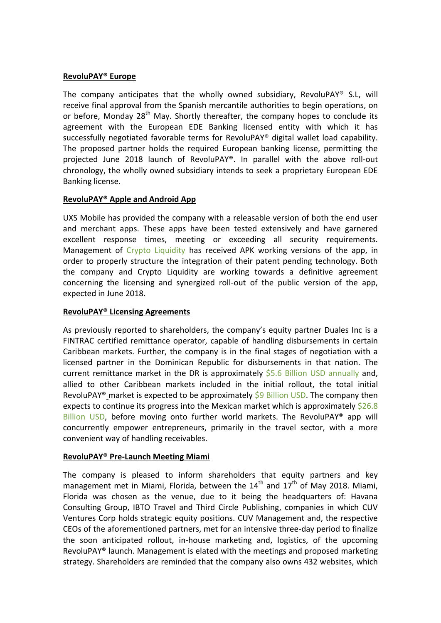## **RevoluPAY® Europe**

The company anticipates that the wholly owned subsidiary, RevoluPAY® S.L, will receive final approval from the Spanish mercantile authorities to begin operations, on or before, Monday  $28<sup>th</sup>$  May. Shortly thereafter, the company hopes to conclude its agreement with the European EDE Banking licensed entity with which it has successfully negotiated favorable terms for RevoluPAY® digital wallet load capability. The proposed partner holds the required European banking license, permitting the projected June 2018 launch of RevoluPAY®. In parallel with the above roll-out chronology, the wholly owned subsidiary intends to seek a proprietary European EDE Banking license.

### **RevoluPAY® Apple and Android App**

UXS Mobile has provided the company with a releasable version of both the end user and merchant apps. These apps have been tested extensively and have garnered excellent response times, meeting or exceeding all security requirements. Management of [Crypto Liquidity](https://www.cuvventures.com/news/cuv-ventures-corp-signs-mou-with-cryptoliquidity-to-license-their-patent-pending-global-blockchain-platform) has received APK working versions of the app, in order to properly structure the integration of their patent pending technology. Both the company and Crypto Liquidity are working towards a definitive agreement concerning the licensing and synergized roll-out of the public version of the app, expected in June 2018.

#### **RevoluPAY® Licensing Agreements**

As previously reported to shareholders, the company's equity partner Duales Inc is a FINTRAC certified remittance operator, capable of handling disbursements in certain Caribbean markets. Further, the company is in the final stages of negotiation with a licensed partner in the Dominican Republic for disbursements in that nation. The current remittance market in the DR is approximately  $$5.6$  Billion USD annually and, allied to other Caribbean markets included in the initial rollout, the total initial RevoluPAY<sup>®</sup> market is expected to be approximately [\\$9 Billion USD.](http://www.worldbank.org/en/topic/migrationremittancesdiasporaissues/brief/migration-remittances-data) The company then expects to continue its progress into the Mexican market which is approximately  $$26.8$ [Billion USD,](http://www.worldbank.org/en/topic/migrationremittancesdiasporaissues/brief/migration-remittances-data) before moving onto further world markets. The RevoluPAY<sup>®</sup> app will concurrently empower entrepreneurs, primarily in the travel sector, with a more convenient way of handling receivables.

#### **RevoluPAY® Pre-Launch Meeting Miami**

The company is pleased to inform shareholders that equity partners and key management met in Miami, Florida, between the  $14<sup>th</sup>$  and  $17<sup>th</sup>$  of May 2018. Miami, Florida was chosen as the venue, due to it being the headquarters of: Havana Consulting Group, IBTO Travel and Third Circle Publishing, companies in which CUV Ventures Corp holds strategic equity positions. CUV Management and, the respective CEOs of the aforementioned partners, met for an intensive three-day period to finalize the soon anticipated rollout, in-house marketing and, logistics, of the upcoming RevoluPAY® launch. Management is elated with the meetings and proposed marketing strategy. Shareholders are reminded that the company also owns 432 websites, which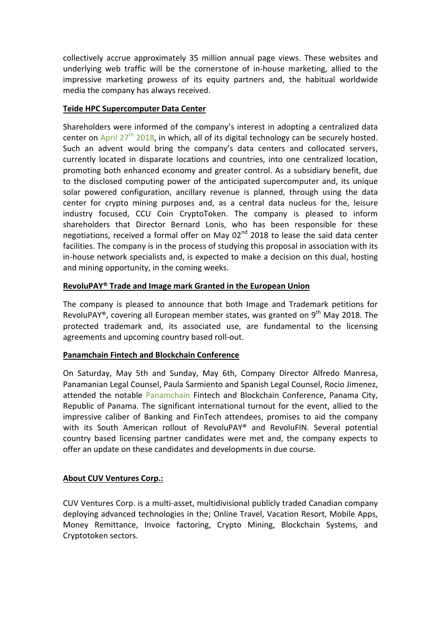collectively accrue approximately 35 million annual page views. These websites and underlying web traffic will be the cornerstone of in-house marketing, allied to the impressive marketing prowess of its equity partners and, the habitual worldwide media the company has always received.

## **Teide HPC Supercomputer Data Center**

Shareholders were informed of the company's interest in adopting a centralized data center on April  $27<sup>th</sup>$  2018, in which, all of its digital technology can be securely hosted. Such an advent would bring the company's data centers and collocated servers, currently located in disparate locations and countries, into one centralized location, promoting both enhanced economy and greater control. As a subsidiary benefit, due to the disclosed computing power of the anticipated supercomputer and, its unique solar powered configuration, ancillary revenue is planned, through using the data center for crypto mining purposes and, as a central data nucleus for the, leisure industry focused, CCU Coin CryptoToken. The company is pleased to inform shareholders that Director Bernard Lonis, who has been responsible for these negotiations, received a formal offer on May  $02<sup>nd</sup>$  2018 to lease the said data center facilities. The company is in the process of studying this proposal in association with its in-house network specialists and, is expected to make a decision on this dual, hosting and mining opportunity, in the coming weeks.

### **RevoluPAY® Trade and Image mark Granted in the European Union**

The company is pleased to announce that both Image and Trademark petitions for RevoluPAY®, covering all European member states, was granted on  $9^{th}$  May 2018. The protected trademark and, its associated use, are fundamental to the licensing agreements and upcoming country based roll-out.

# **Panamchain Fintech and Blockchain Conference**

On Saturday, May 5th and Sunday, May 6th, Company Director Alfredo Manresa, Panamanian Legal Counsel, Paula Sarmiento and Spanish Legal Counsel, Rocio Jimenez, attended the notable [Panamchain](https://panamchain.com/) Fintech and Blockchain Conference, Panama City, Republic of Panama. The significant international turnout for the event, allied to the impressive caliber of Banking and FinTech attendees, promises to aid the company with its South American rollout of RevoluPAY® and RevoluFIN. Several potential country based licensing partner candidates were met and, the company expects to offer an update on these candidates and developments in due course.

# **About CUV Ventures Corp.:**

CUV Ventures Corp. is a multi-asset, multidivisional publicly traded Canadian company deploying advanced technologies in the; Online Travel, Vacation Resort, Mobile Apps, Money Remittance, Invoice factoring, Crypto Mining, Blockchain Systems, and Cryptotoken sectors.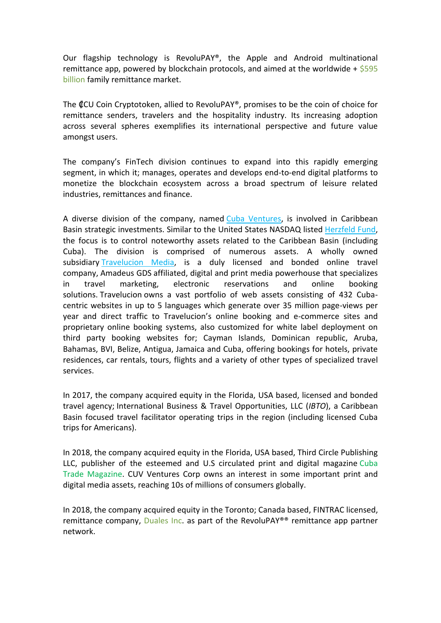Our flagship technology is RevoluPAY®, the Apple and Android multinational remittance app, powered by blockchain protocols, and aimed at the worldwide +  $$595$ [billion](http://www.worldbank.org/en/topic/migrationremittancesdiasporaissues/brief/migration-remittances-data) family remittance market.

The ₡CU Coin Cryptotoken, allied to RevoluPAY®, promises to be the coin of choice for remittance senders, travelers and the hospitality industry. Its increasing adoption across several spheres exemplifies its international perspective and future value amongst users.

The company's FinTech division continues to expand into this rapidly emerging segment, in which it; manages, operates and develops end-to-end digital platforms to monetize the blockchain ecosystem across a broad spectrum of leisure related industries, remittances and finance.

A diverse division of the company, named [Cuba Ventures,](http://www.cubaventures.com/) is involved in Caribbean Basin strategic investments. Similar to the United States NASDAQ listed [Herzfeld Fund,](https://www.herzfeld.com/cuba) the focus is to control noteworthy assets related to the Caribbean Basin (including Cuba). The division is comprised of numerous assets. A wholly owned subsidiary [Travelucion Media,](http://www.travelucion.com/) is a duly licensed and bonded online travel company, [Amadeus GDS](http://www.amadeus.com/) affiliated, digital and print media powerhouse that specializes in travel marketing, electronic reservations and online booking solutions. [Travelucion](http://www.travelucion.com/) owns a vast portfolio of web assets consisting of 432 Cubacentric websites in up to 5 languages which generate over 35 million page-views per year and direct traffic to Travelucion's online booking and e-commerce sites and proprietary online booking systems, also customized for white label deployment on third party booking websites for; Cayman Islands, Dominican republic, Aruba, Bahamas, BVI, Belize, Antigua, Jamaica and Cuba, offering bookings for hotels, private residences, car rentals, tours, flights and a variety of other types of specialized travel services.

In 2017, the company acquired equity in the Florida, USA based, licensed and bonded travel agency; International Business & Travel Opportunities, LLC (*IBTO*), a Caribbean Basin focused travel facilitator operating trips in the region (including licensed Cuba trips for Americans).

In 2018, the company acquired equity in the Florida, USA based, Third Circle Publishing LLC, publisher of the esteemed and U.S circulated print and digital magazine [Cuba](http://www.cubatrademagazine.com/)  [Trade Magazine.](http://www.cubatrademagazine.com/) CUV Ventures Corp owns an interest in some important print and digital media assets, reaching 10s of millions of consumers globally.

In 2018, the company acquired equity in the Toronto; Canada based, FINTRAC licensed, remittance company, [Duales Inc.](http://www.duales.com/) as part of the RevoluPAY®® remittance app partner network.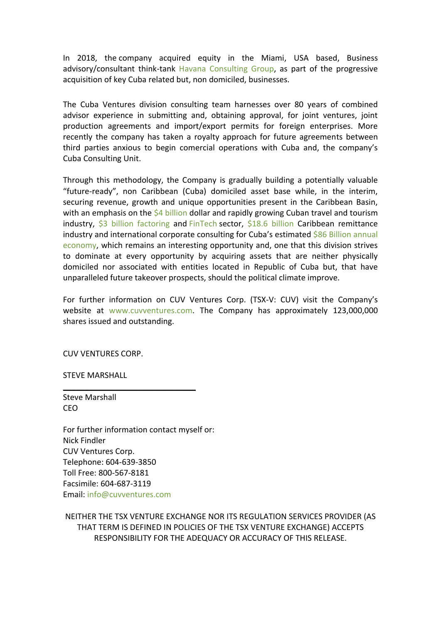In 2018, the company acquired equity in the Miami, USA based, Business advisory/consultant think-tank [Havana Consulting Group,](http://www.thehavanaconsultinggroup.com/) as part of the progressive acquisition of key Cuba related but, non domiciled, businesses.

The Cuba Ventures division consulting team harnesses over 80 years of combined advisor experience in submitting and, obtaining approval, for joint ventures, joint production agreements and import/export permits for foreign enterprises. More recently the company has taken a royalty approach for future agreements between third parties anxious to begin comercial operations with Cuba and, the company's Cuba Consulting Unit.

Through this methodology, the Company is gradually building a potentially valuable "future-ready", non Caribbean (Cuba) domiciled asset base while, in the interim, securing revenue, growth and unique opportunities present in the Caribbean Basin, with an emphasis on the [\\$4 billion](https://wits.worldbank.org/CountryProfile/en/CUB) dollar and rapidly growing Cuban travel and tourism industry, [\\$3 billion factoring](https://wits.worldbank.org/CountryProfile/en/CUB) and [FinTech](http://www.revolufin.com/) sector, [\\$18.6 billion](http://www.worldbank.org/en/topic/migrationremittancesdiasporaissues/brief/migration-remittances-data) Caribbean remittance industry and international corporate consulting for Cuba's estimated \$86 Billion annual [economy,](https://es.wikipedia.org/wiki/Economía_de_Cuba) which remains an interesting opportunity and, one that this division strives to dominate at every opportunity by acquiring assets that are neither physically domiciled nor associated with entities located in Republic of Cuba but, that have unparalleled future takeover prospects, should the political climate improve.

For further information on CUV Ventures Corp. (TSX-V: CUV) visit the Company's website at [www.cuvventures.com.](http://www.cuvventures.com/) The Company has approximately 123,000,000 shares issued and outstanding.

CUV VENTURES CORP.

STEVE MARSHALL

Steve Marshall CEO

For further information contact myself or: Nick Findler CUV Ventures Corp. Telephone: 604-639-3850 Toll Free: 800-567-8181 Facsimile: 604-687-3119 Email[: info@cuvventures.com](mailto:info@cuvventures.com)

 $\frac{1}{2}$  , and the set of the set of the set of the set of the set of the set of the set of the set of the set of the set of the set of the set of the set of the set of the set of the set of the set of the set of the set

NEITHER THE TSX VENTURE EXCHANGE NOR ITS REGULATION SERVICES PROVIDER (AS THAT TERM IS DEFINED IN POLICIES OF THE TSX VENTURE EXCHANGE) ACCEPTS RESPONSIBILITY FOR THE ADEQUACY OR ACCURACY OF THIS RELEASE.